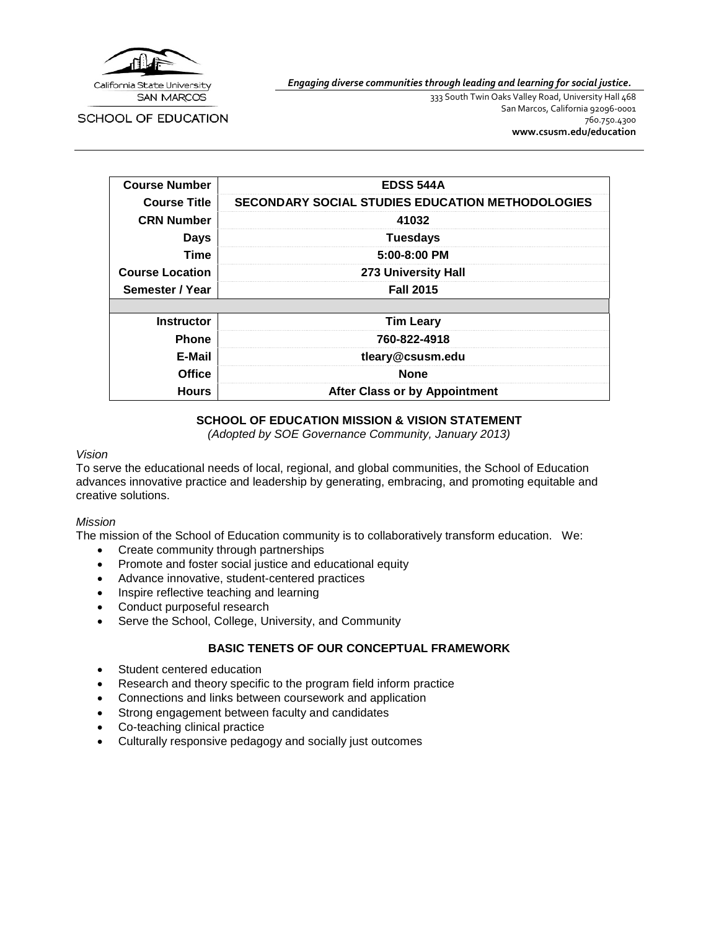

*Engaging diverse communities through leading and learning for social justice.*

**SCHOOL OF EDUCATION** 

333 South Twin Oaks Valley Road, University Hall 468 San Marcos, California 92096-0001 760.750.4300 **[www.csusm.edu/education](http://www.csusm.edu/education)**

| <b>Course Number</b>   | <b>EDSS 544A</b>                                        |  |  |
|------------------------|---------------------------------------------------------|--|--|
| <b>Course Title</b>    | <b>SECONDARY SOCIAL STUDIES EDUCATION METHODOLOGIES</b> |  |  |
| <b>CRN Number</b>      | 41032                                                   |  |  |
| <b>Days</b>            | <b>Tuesdays</b>                                         |  |  |
| <b>Time</b>            | 5:00-8:00 PM                                            |  |  |
| <b>Course Location</b> | 273 University Hall                                     |  |  |
| Semester / Year        | <b>Fall 2015</b>                                        |  |  |
|                        |                                                         |  |  |
| <b>Instructor</b>      | <b>Tim Leary</b>                                        |  |  |
| <b>Phone</b>           | 760-822-4918                                            |  |  |
| E-Mail                 | tleary@csusm.edu                                        |  |  |
| <b>Office</b>          | <b>None</b>                                             |  |  |
| <b>Hours</b>           | <b>After Class or by Appointment</b>                    |  |  |

#### **SCHOOL OF EDUCATION MISSION & VISION STATEMENT**

*(Adopted by SOE Governance Community, January 2013)*

#### *Vision*

To serve the educational needs of local, regional, and global communities, the School of Education advances innovative practice and leadership by generating, embracing, and promoting equitable and creative solutions.

#### *Mission*

The mission of the School of Education community is to collaboratively transform education. We:

- Create community through partnerships
- Promote and foster social justice and educational equity
- Advance innovative, student-centered practices
- Inspire reflective teaching and learning
- Conduct purposeful research
- Serve the School, College, University, and Community

## **BASIC TENETS OF OUR CONCEPTUAL FRAMEWORK**

- Student centered education
- Research and theory specific to the program field inform practice
- Connections and links between coursework and application
- Strong engagement between faculty and candidates
- Co-teaching clinical practice
- Culturally responsive pedagogy and socially just outcomes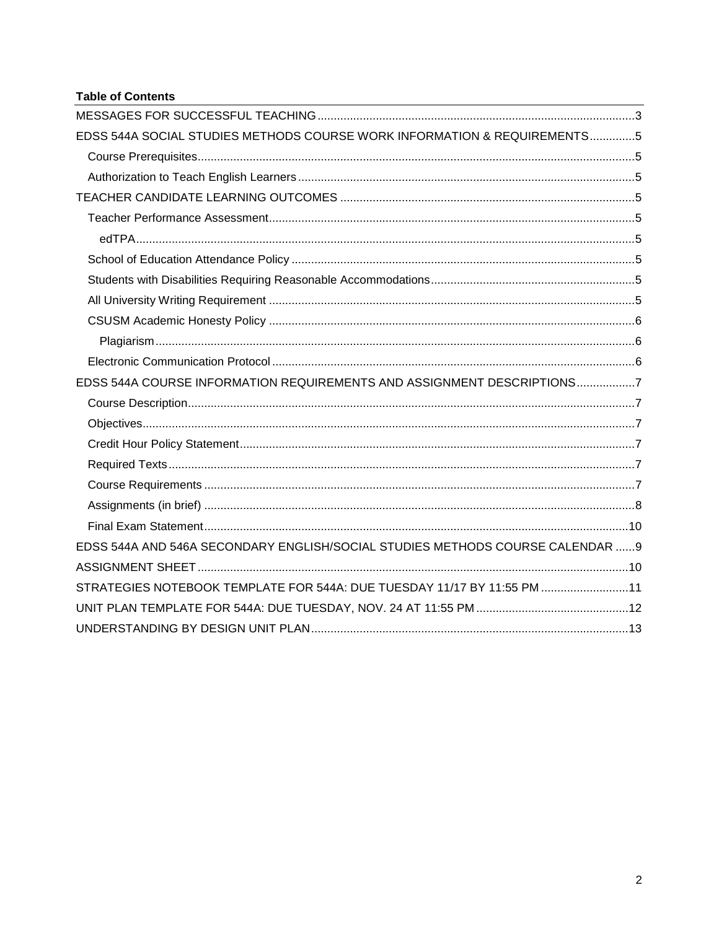## **Table of Contents**

| EDSS 544A SOCIAL STUDIES METHODS COURSE WORK INFORMATION & REQUIREMENTS5      |  |
|-------------------------------------------------------------------------------|--|
|                                                                               |  |
|                                                                               |  |
|                                                                               |  |
|                                                                               |  |
|                                                                               |  |
|                                                                               |  |
|                                                                               |  |
|                                                                               |  |
|                                                                               |  |
|                                                                               |  |
|                                                                               |  |
| EDSS 544A COURSE INFORMATION REQUIREMENTS AND ASSIGNMENT DESCRIPTIONS7        |  |
|                                                                               |  |
|                                                                               |  |
|                                                                               |  |
|                                                                               |  |
|                                                                               |  |
|                                                                               |  |
|                                                                               |  |
| EDSS 544A AND 546A SECONDARY ENGLISH/SOCIAL STUDIES METHODS COURSE CALENDAR 9 |  |
|                                                                               |  |
| STRATEGIES NOTEBOOK TEMPLATE FOR 544A: DUE TUESDAY 11/17 BY 11:55 PM 11       |  |
|                                                                               |  |
|                                                                               |  |
|                                                                               |  |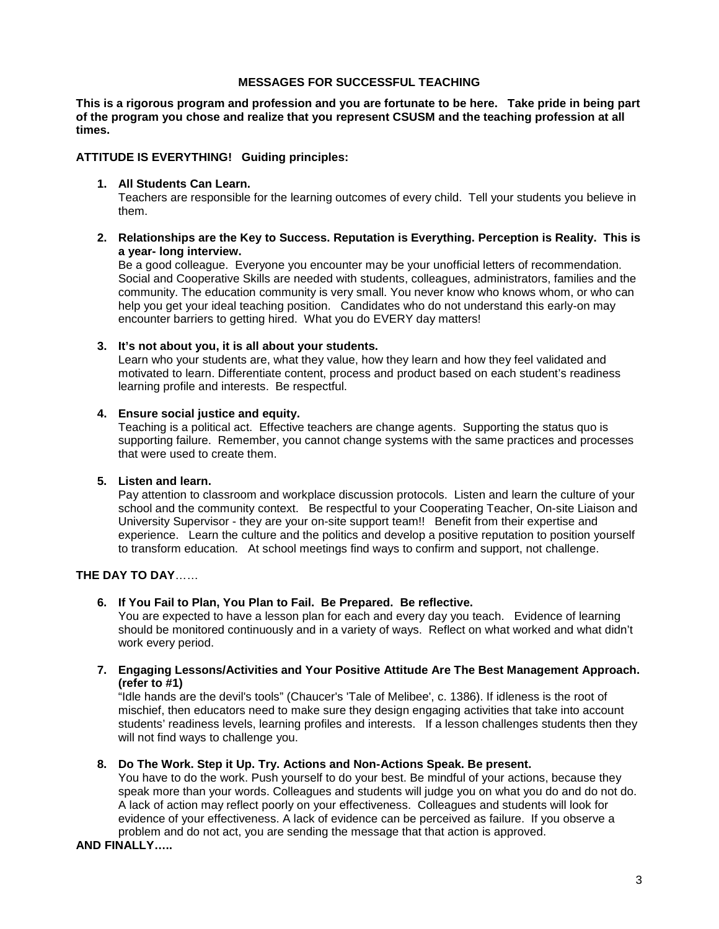#### **MESSAGES FOR SUCCESSFUL TEACHING**

<span id="page-2-0"></span>**This is a rigorous program and profession and you are fortunate to be here. Take pride in being part of the program you chose and realize that you represent CSUSM and the teaching profession at all times.**

#### **ATTITUDE IS EVERYTHING! Guiding principles:**

#### **1. All Students Can Learn.**

Teachers are responsible for the learning outcomes of every child. Tell your students you believe in them.

**2. Relationships are the Key to Success. Reputation is Everything. Perception is Reality. This is a year- long interview.**

Be a good colleague. Everyone you encounter may be your unofficial letters of recommendation. Social and Cooperative Skills are needed with students, colleagues, administrators, families and the community. The education community is very small. You never know who knows whom, or who can help you get your ideal teaching position. Candidates who do not understand this early-on may encounter barriers to getting hired. What you do EVERY day matters!

**3. It's not about you, it is all about your students.**

Learn who your students are, what they value, how they learn and how they feel validated and motivated to learn. Differentiate content, process and product based on each student's readiness learning profile and interests. Be respectful.

#### **4. Ensure social justice and equity.**

Teaching is a political act. Effective teachers are change agents. Supporting the status quo is supporting failure. Remember, you cannot change systems with the same practices and processes that were used to create them.

## **5. Listen and learn.**

Pay attention to classroom and workplace discussion protocols. Listen and learn the culture of your school and the community context. Be respectful to your Cooperating Teacher, On-site Liaison and University Supervisor - they are your on-site support team!! Benefit from their expertise and experience. Learn the culture and the politics and develop a positive reputation to position yourself to transform education. At school meetings find ways to confirm and support, not challenge.

## **THE DAY TO DAY**……

#### **6. If You Fail to Plan, You Plan to Fail. Be Prepared. Be reflective.**

You are expected to have a lesson plan for each and every day you teach. Evidence of learning should be monitored continuously and in a variety of ways. Reflect on what worked and what didn't work every period.

#### **7. Engaging Lessons/Activities and Your Positive Attitude Are The Best Management Approach. (refer to #1)**

"Idle hands are the devil's tools" (Chaucer's 'Tale of Melibee', c. 1386). If idleness is the root of mischief, then educators need to make sure they design engaging activities that take into account students' readiness levels, learning profiles and interests. If a lesson challenges students then they will not find ways to challenge you.

#### **8. Do The Work. Step it Up. Try. Actions and Non-Actions Speak. Be present.**

You have to do the work. Push yourself to do your best. Be mindful of your actions, because they speak more than your words. Colleagues and students will judge you on what you do and do not do. A lack of action may reflect poorly on your effectiveness. Colleagues and students will look for evidence of your effectiveness. A lack of evidence can be perceived as failure. If you observe a problem and do not act, you are sending the message that that action is approved.

**AND FINALLY…..**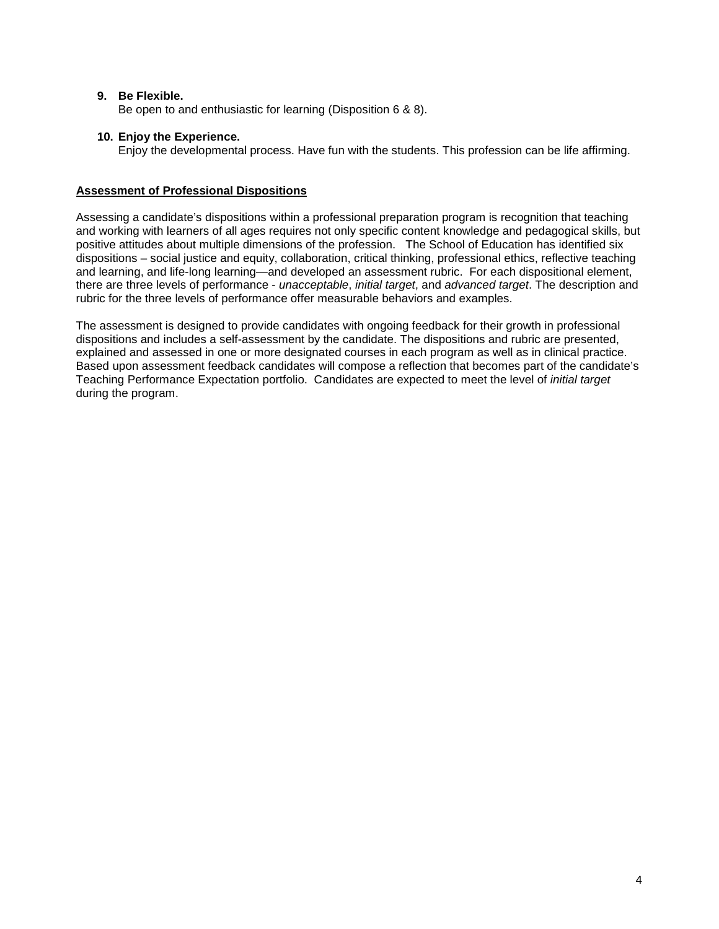### **9. Be Flexible.**

Be open to and enthusiastic for learning (Disposition 6 & 8).

#### **10. Enjoy the Experience.**

Enjoy the developmental process. Have fun with the students. This profession can be life affirming.

#### **Assessment of Professional Dispositions**

Assessing a candidate's dispositions within a professional preparation program is recognition that teaching and working with learners of all ages requires not only specific content knowledge and pedagogical skills, but positive attitudes about multiple dimensions of the profession. The School of Education has identified six dispositions – social justice and equity, collaboration, critical thinking, professional ethics, reflective teaching and learning, and life-long learning—and developed an assessment rubric. For each dispositional element, there are three levels of performance - *unacceptable*, *initial target*, and *advanced target*. The description and rubric for the three levels of performance offer measurable behaviors and examples.

The assessment is designed to provide candidates with ongoing feedback for their growth in professional dispositions and includes a self-assessment by the candidate. The dispositions and rubric are presented, explained and assessed in one or more designated courses in each program as well as in clinical practice. Based upon assessment feedback candidates will compose a reflection that becomes part of the candidate's Teaching Performance Expectation portfolio. Candidates are expected to meet the level of *initial target* during the program.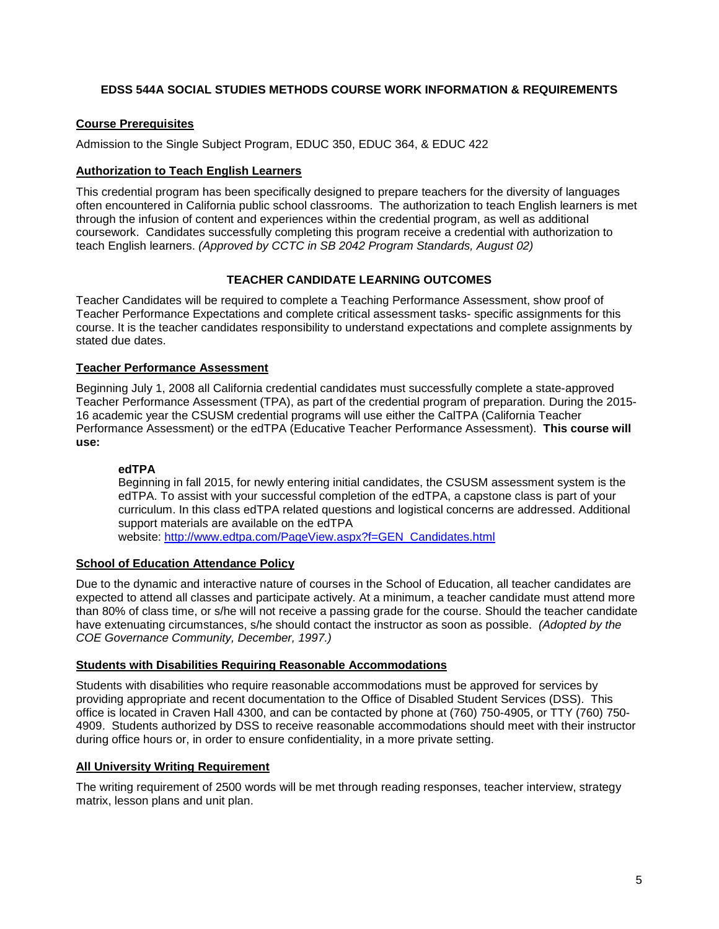## <span id="page-4-0"></span>**EDSS 544A SOCIAL STUDIES METHODS COURSE WORK INFORMATION & REQUIREMENTS**

## <span id="page-4-1"></span>**Course Prerequisites**

Admission to the Single Subject Program, EDUC 350, EDUC 364, & EDUC 422

#### <span id="page-4-2"></span>**Authorization to Teach English Learners**

This credential program has been specifically designed to prepare teachers for the diversity of languages often encountered in California public school classrooms. The authorization to teach English learners is met through the infusion of content and experiences within the credential program, as well as additional coursework. Candidates successfully completing this program receive a credential with authorization to teach English learners. *(Approved by CCTC in SB 2042 Program Standards, August 02)*

## **TEACHER CANDIDATE LEARNING OUTCOMES**

<span id="page-4-3"></span>Teacher Candidates will be required to complete a Teaching Performance Assessment, show proof of Teacher Performance Expectations and complete critical assessment tasks- specific assignments for this course. It is the teacher candidates responsibility to understand expectations and complete assignments by stated due dates.

## <span id="page-4-4"></span>**Teacher Performance Assessment**

Beginning July 1, 2008 all California credential candidates must successfully complete a state-approved Teacher Performance Assessment (TPA), as part of the credential program of preparation. During the 2015- 16 academic year the CSUSM credential programs will use either the CalTPA (California Teacher Performance Assessment) or the edTPA (Educative Teacher Performance Assessment). **This course will use:**

#### <span id="page-4-5"></span>**edTPA**

Beginning in fall 2015, for newly entering initial candidates, the CSUSM assessment system is the edTPA. To assist with your successful completion of the edTPA, a capstone class is part of your curriculum. In this class edTPA related questions and logistical concerns are addressed. Additional support materials are available on the edTPA

website: [http://www.edtpa.com/PageView.aspx?f=GEN\\_Candidates.html](http://www.edtpa.com/PageView.aspx?f=GEN_Candidates.html)

#### <span id="page-4-6"></span>**School of Education Attendance Policy**

Due to the dynamic and interactive nature of courses in the School of Education, all teacher candidates are expected to attend all classes and participate actively. At a minimum, a teacher candidate must attend more than 80% of class time, or s/he will not receive a passing grade for the course. Should the teacher candidate have extenuating circumstances, s/he should contact the instructor as soon as possible. *(Adopted by the COE Governance Community, December, 1997.)*

#### <span id="page-4-7"></span>**Students with Disabilities Requiring Reasonable Accommodations**

Students with disabilities who require reasonable accommodations must be approved for services by providing appropriate and recent documentation to the Office of Disabled Student Services (DSS). This office is located in Craven Hall 4300, and can be contacted by phone at (760) 750-4905, or TTY (760) 750- 4909. Students authorized by DSS to receive reasonable accommodations should meet with their instructor during office hours or, in order to ensure confidentiality, in a more private setting.

#### <span id="page-4-8"></span>**All University Writing Requirement**

The writing requirement of 2500 words will be met through reading responses, teacher interview, strategy matrix, lesson plans and unit plan.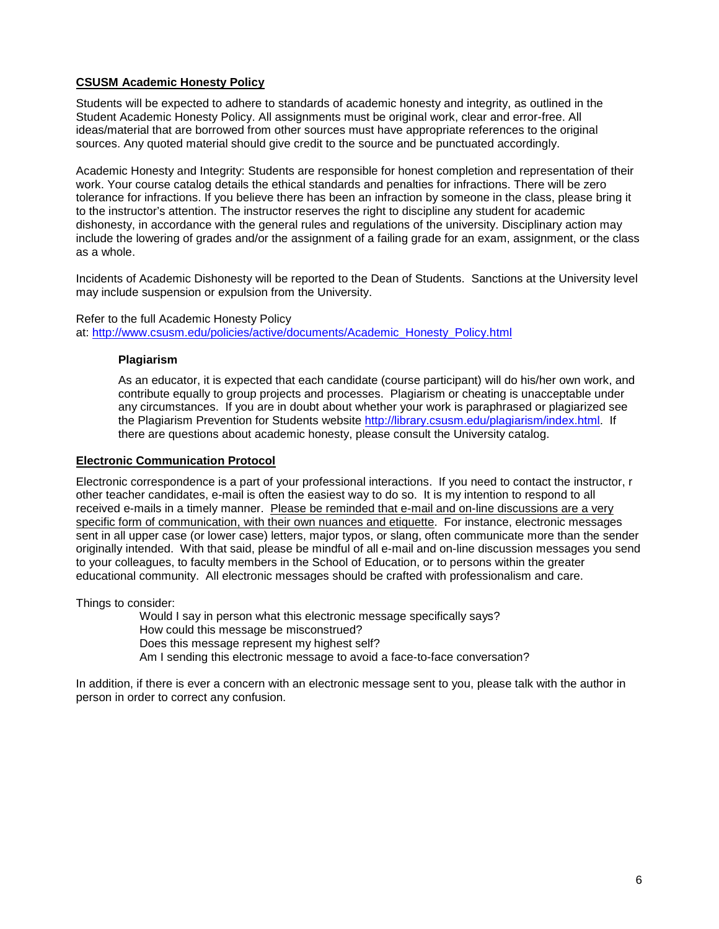## <span id="page-5-0"></span>**CSUSM Academic Honesty Policy**

Students will be expected to adhere to standards of academic honesty and integrity, as outlined in the Student Academic Honesty Policy. All assignments must be original work, clear and error-free. All ideas/material that are borrowed from other sources must have appropriate references to the original sources. Any quoted material should give credit to the source and be punctuated accordingly.

Academic Honesty and Integrity: Students are responsible for honest completion and representation of their work. Your course catalog details the ethical standards and penalties for infractions. There will be zero tolerance for infractions. If you believe there has been an infraction by someone in the class, please bring it to the instructor's attention. The instructor reserves the right to discipline any student for academic dishonesty, in accordance with the general rules and regulations of the university. Disciplinary action may include the lowering of grades and/or the assignment of a failing grade for an exam, assignment, or the class as a whole.

Incidents of Academic Dishonesty will be reported to the Dean of Students. Sanctions at the University level may include suspension or expulsion from the University.

<span id="page-5-1"></span>Refer to the full Academic Honesty Policy at: [http://www.csusm.edu/policies/active/documents/Academic\\_Honesty\\_Policy.html](http://www.csusm.edu/policies/active/documents/Academic_Honesty_Policy.html)

#### **Plagiarism**

As an educator, it is expected that each candidate (course participant) will do his/her own work, and contribute equally to group projects and processes. Plagiarism or cheating is unacceptable under any circumstances. If you are in doubt about whether your work is paraphrased or plagiarized see the Plagiarism Prevention for Students website [http://library.csusm.edu/plagiarism/index.html.](http://library.csusm.edu/plagiarism/index.html) If there are questions about academic honesty, please consult the University catalog.

#### <span id="page-5-2"></span>**Electronic Communication Protocol**

Electronic correspondence is a part of your professional interactions. If you need to contact the instructor, r other teacher candidates, e-mail is often the easiest way to do so. It is my intention to respond to all received e-mails in a timely manner. Please be reminded that e-mail and on-line discussions are a very specific form of communication, with their own nuances and etiquette. For instance, electronic messages sent in all upper case (or lower case) letters, major typos, or slang, often communicate more than the sender originally intended. With that said, please be mindful of all e-mail and on-line discussion messages you send to your colleagues, to faculty members in the School of Education, or to persons within the greater educational community. All electronic messages should be crafted with professionalism and care.

Things to consider:

Would I say in person what this electronic message specifically says? How could this message be misconstrued? Does this message represent my highest self? Am I sending this electronic message to avoid a face-to-face conversation?

In addition, if there is ever a concern with an electronic message sent to you, please talk with the author in person in order to correct any confusion.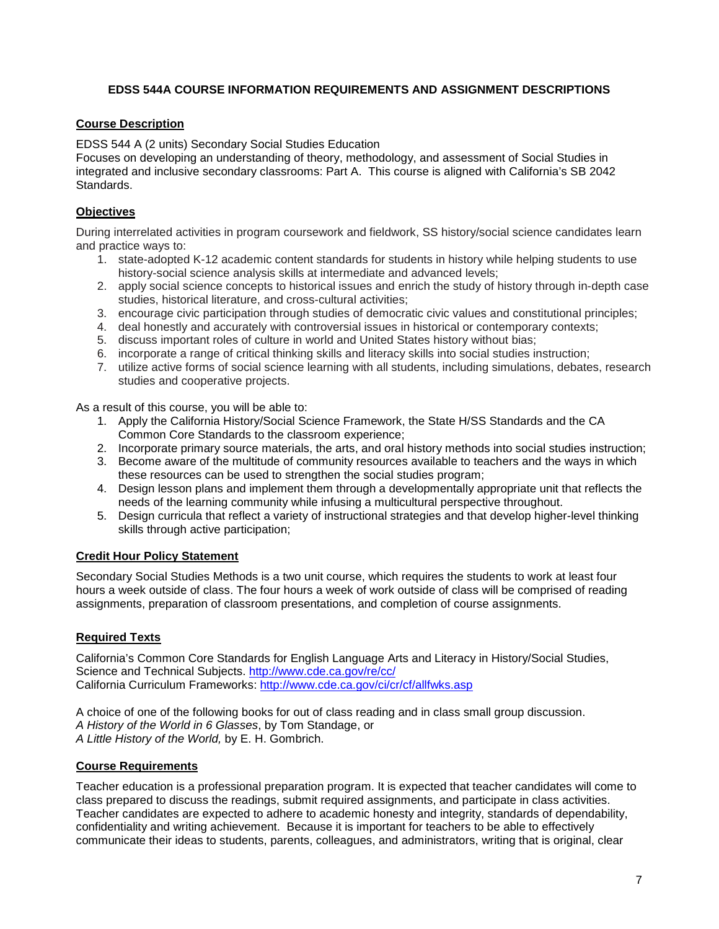## <span id="page-6-0"></span>**EDSS 544A COURSE INFORMATION REQUIREMENTS AND ASSIGNMENT DESCRIPTIONS**

## <span id="page-6-1"></span>**Course Description**

EDSS 544 A (2 units) Secondary Social Studies Education

Focuses on developing an understanding of theory, methodology, and assessment of Social Studies in integrated and inclusive secondary classrooms: Part A. This course is aligned with California's SB 2042 Standards.

## <span id="page-6-2"></span>**Objectives**

During interrelated activities in program coursework and fieldwork, SS history/social science candidates learn and practice ways to:

- 1. state-adopted K-12 academic content standards for students in history while helping students to use history-social science analysis skills at intermediate and advanced levels;
- 2. apply social science concepts to historical issues and enrich the study of history through in-depth case studies, historical literature, and cross-cultural activities;
- 3. encourage civic participation through studies of democratic civic values and constitutional principles;
- 4. deal honestly and accurately with controversial issues in historical or contemporary contexts;
- 5. discuss important roles of culture in world and United States history without bias;
- 6. incorporate a range of critical thinking skills and literacy skills into social studies instruction;
- 7. utilize active forms of social science learning with all students, including simulations, debates, research studies and cooperative projects.

As a result of this course, you will be able to:

- 1. Apply the California History/Social Science Framework, the State H/SS Standards and the CA Common Core Standards to the classroom experience;
- 2. Incorporate primary source materials, the arts, and oral history methods into social studies instruction;
- 3. Become aware of the multitude of community resources available to teachers and the ways in which these resources can be used to strengthen the social studies program;
- 4. Design lesson plans and implement them through a developmentally appropriate unit that reflects the needs of the learning community while infusing a multicultural perspective throughout.
- 5. Design curricula that reflect a variety of instructional strategies and that develop higher-level thinking skills through active participation;

## <span id="page-6-3"></span>**Credit Hour Policy Statement**

Secondary Social Studies Methods is a two unit course, which requires the students to work at least four hours a week outside of class. The four hours a week of work outside of class will be comprised of reading assignments, preparation of classroom presentations, and completion of course assignments.

## <span id="page-6-4"></span>**Required Texts**

California's Common Core Standards for English Language Arts and Literacy in History/Social Studies, Science and Technical Subjects.<http://www.cde.ca.gov/re/cc/> California Curriculum Frameworks:<http://www.cde.ca.gov/ci/cr/cf/allfwks.asp>

A choice of one of the following books for out of class reading and in class small group discussion. *A History of the World in 6 Glasses*, by Tom Standage, or *A Little History of the World,* by E. H. Gombrich.

## <span id="page-6-5"></span>**Course Requirements**

Teacher education is a professional preparation program. It is expected that teacher candidates will come to class prepared to discuss the readings, submit required assignments, and participate in class activities. Teacher candidates are expected to adhere to academic honesty and integrity, standards of dependability, confidentiality and writing achievement. Because it is important for teachers to be able to effectively communicate their ideas to students, parents, colleagues, and administrators, writing that is original, clear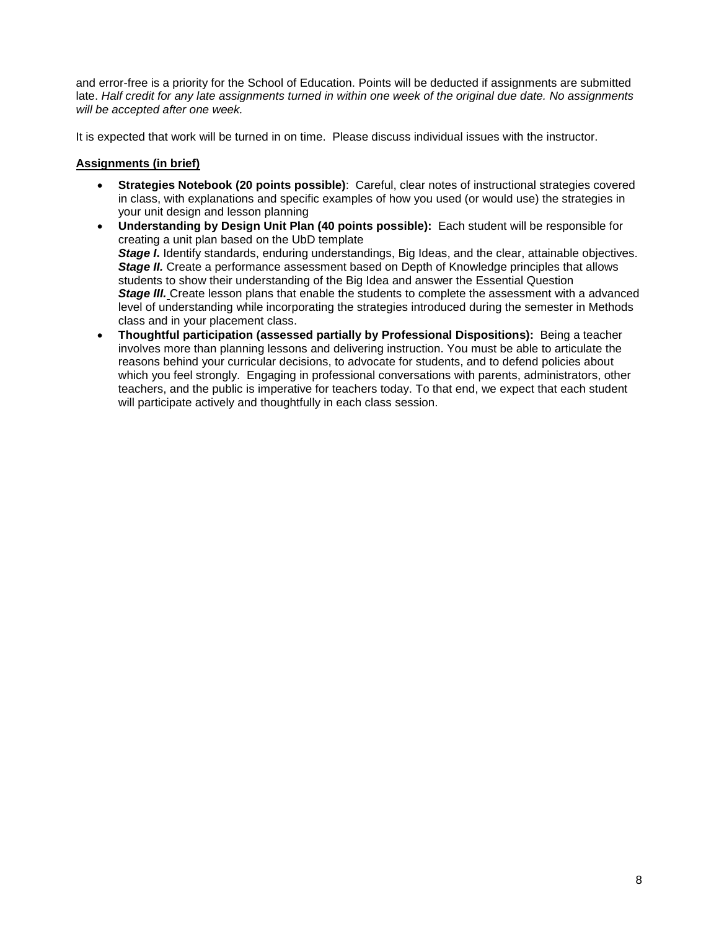and error-free is a priority for the School of Education. Points will be deducted if assignments are submitted late. *Half credit for any late assignments turned in within one week of the original due date. No assignments will be accepted after one week.*

It is expected that work will be turned in on time. Please discuss individual issues with the instructor.

### <span id="page-7-0"></span>**Assignments (in brief)**

- **Strategies Notebook (20 points possible)**: Careful, clear notes of instructional strategies covered in class, with explanations and specific examples of how you used (or would use) the strategies in your unit design and lesson planning
- **Understanding by Design Unit Plan (40 points possible):** Each student will be responsible for creating a unit plan based on the UbD template *Stage I*. Identify standards, enduring understandings, Big Ideas, and the clear, attainable objectives. *Stage II.* Create a performance assessment based on Depth of Knowledge principles that allows students to show their understanding of the Big Idea and answer the Essential Question **Stage III.** Create lesson plans that enable the students to complete the assessment with a advanced level of understanding while incorporating the strategies introduced during the semester in Methods class and in your placement class.
- **Thoughtful participation (assessed partially by Professional Dispositions):** Being a teacher involves more than planning lessons and delivering instruction. You must be able to articulate the reasons behind your curricular decisions, to advocate for students, and to defend policies about which you feel strongly. Engaging in professional conversations with parents, administrators, other teachers, and the public is imperative for teachers today. To that end, we expect that each student will participate actively and thoughtfully in each class session.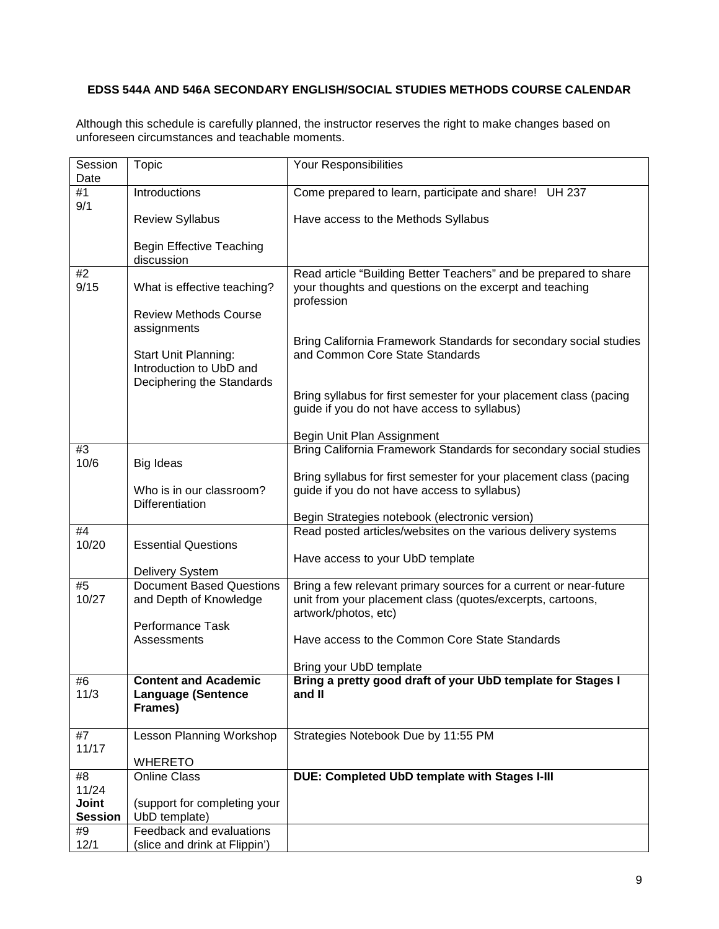## <span id="page-8-0"></span>**EDSS 544A AND 546A SECONDARY ENGLISH/SOCIAL STUDIES METHODS COURSE CALENDAR**

Although this schedule is carefully planned, the instructor reserves the right to make changes based on unforeseen circumstances and teachable moments.

| Session        | <b>Topic</b>                                             | Your Responsibilities                                                                  |  |  |
|----------------|----------------------------------------------------------|----------------------------------------------------------------------------------------|--|--|
| Date           |                                                          |                                                                                        |  |  |
| #1             | Introductions                                            | Come prepared to learn, participate and share! UH 237                                  |  |  |
| 9/1            |                                                          |                                                                                        |  |  |
|                | <b>Review Syllabus</b>                                   | Have access to the Methods Syllabus                                                    |  |  |
|                |                                                          |                                                                                        |  |  |
|                | <b>Begin Effective Teaching</b><br>discussion            |                                                                                        |  |  |
| #2             |                                                          | Read article "Building Better Teachers" and be prepared to share                       |  |  |
| 9/15           | What is effective teaching?                              | your thoughts and questions on the excerpt and teaching                                |  |  |
|                |                                                          | profession                                                                             |  |  |
|                | <b>Review Methods Course</b>                             |                                                                                        |  |  |
|                | assignments                                              |                                                                                        |  |  |
|                |                                                          | Bring California Framework Standards for secondary social studies                      |  |  |
|                | Start Unit Planning:<br>Introduction to UbD and          | and Common Core State Standards                                                        |  |  |
|                | Deciphering the Standards                                |                                                                                        |  |  |
|                |                                                          | Bring syllabus for first semester for your placement class (pacing                     |  |  |
|                |                                                          | guide if you do not have access to syllabus)                                           |  |  |
|                |                                                          |                                                                                        |  |  |
|                |                                                          | Begin Unit Plan Assignment                                                             |  |  |
| #3             |                                                          | Bring California Framework Standards for secondary social studies                      |  |  |
| 10/6           | Big Ideas                                                | Bring syllabus for first semester for your placement class (pacing                     |  |  |
|                | Who is in our classroom?                                 | guide if you do not have access to syllabus)                                           |  |  |
|                | Differentiation                                          |                                                                                        |  |  |
|                |                                                          | Begin Strategies notebook (electronic version)                                         |  |  |
| #4             |                                                          | Read posted articles/websites on the various delivery systems                          |  |  |
| 10/20          | <b>Essential Questions</b>                               |                                                                                        |  |  |
|                |                                                          | Have access to your UbD template                                                       |  |  |
| #5             | Delivery System<br><b>Document Based Questions</b>       | Bring a few relevant primary sources for a current or near-future                      |  |  |
| 10/27          | and Depth of Knowledge                                   | unit from your placement class (quotes/excerpts, cartoons,                             |  |  |
|                |                                                          | artwork/photos, etc)                                                                   |  |  |
|                | Performance Task                                         |                                                                                        |  |  |
|                | Assessments                                              | Have access to the Common Core State Standards                                         |  |  |
|                |                                                          |                                                                                        |  |  |
| #6             |                                                          | Bring your UbD template<br>Bring a pretty good draft of your UbD template for Stages I |  |  |
| 11/3           | <b>Content and Academic</b><br><b>Language (Sentence</b> | and II                                                                                 |  |  |
|                | Frames)                                                  |                                                                                        |  |  |
|                |                                                          |                                                                                        |  |  |
| #7             | <b>Lesson Planning Workshop</b>                          | Strategies Notebook Due by 11:55 PM                                                    |  |  |
| 11/17          |                                                          |                                                                                        |  |  |
|                | <b>WHERETO</b>                                           |                                                                                        |  |  |
| #8<br>11/24    | <b>Online Class</b>                                      | DUE: Completed UbD template with Stages I-III                                          |  |  |
| <b>Joint</b>   | (support for completing your                             |                                                                                        |  |  |
| <b>Session</b> | UbD template)                                            |                                                                                        |  |  |
| #9             | Feedback and evaluations                                 |                                                                                        |  |  |
| 12/1           | (slice and drink at Flippin')                            |                                                                                        |  |  |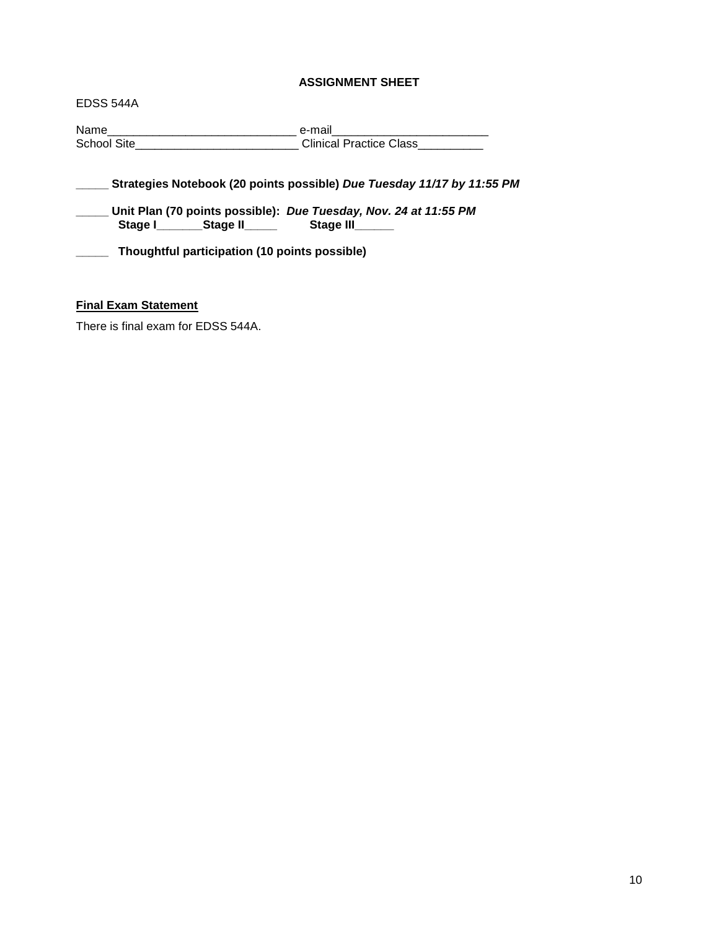### **ASSIGNMENT SHEET**

<span id="page-9-1"></span>EDSS 544A

Name\_\_\_\_\_\_\_\_\_\_\_\_\_\_\_\_\_\_\_\_\_\_\_\_\_\_\_\_\_ e-mail\_\_\_\_\_\_\_\_\_\_\_\_\_\_\_\_\_\_\_\_\_\_\_\_ School Site\_\_\_\_\_\_\_\_\_\_\_\_\_\_\_\_\_\_\_\_\_\_\_\_\_\_\_\_\_\_\_\_\_\_Clinical Practice Class\_\_\_\_\_\_\_\_\_\_\_\_

**\_\_\_\_\_ Strategies Notebook (20 points possible)** *Due Tuesday 11/17 by 11:55 PM*

**\_\_\_\_\_ Unit Plan (70 points possible):** *Due Tuesday, Nov. 24 at 11:55 PM* Stage I**\_\_\_\_\_\_\_\_Stage II\_\_\_\_\_** 

**\_\_\_\_\_ Thoughtful participation (10 points possible)**

### <span id="page-9-0"></span>**Final Exam Statement**

There is final exam for EDSS 544A.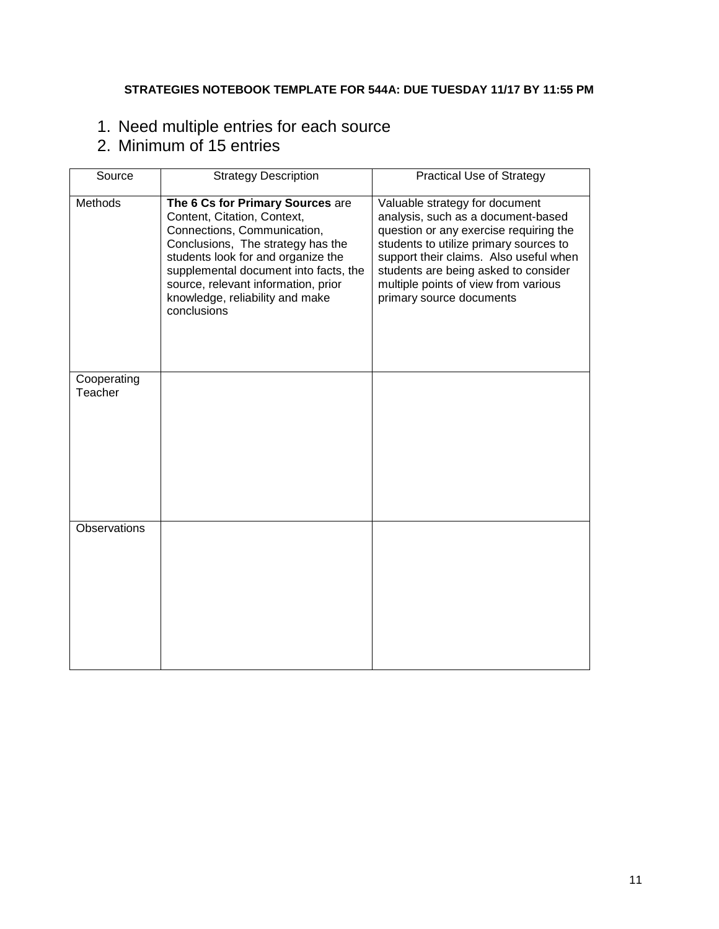## **STRATEGIES NOTEBOOK TEMPLATE FOR 544A: DUE TUESDAY 11/17 BY 11:55 PM**

# <span id="page-10-0"></span>1. Need multiple entries for each source

# 2. Minimum of 15 entries

| Source                 | <b>Strategy Description</b>                                                                                                                                                                                                                                                                                 | <b>Practical Use of Strategy</b>                                                                                                                                                                                                                                                                               |
|------------------------|-------------------------------------------------------------------------------------------------------------------------------------------------------------------------------------------------------------------------------------------------------------------------------------------------------------|----------------------------------------------------------------------------------------------------------------------------------------------------------------------------------------------------------------------------------------------------------------------------------------------------------------|
| Methods                | The 6 Cs for Primary Sources are<br>Content, Citation, Context,<br>Connections, Communication,<br>Conclusions, The strategy has the<br>students look for and organize the<br>supplemental document into facts, the<br>source, relevant information, prior<br>knowledge, reliability and make<br>conclusions | Valuable strategy for document<br>analysis, such as a document-based<br>question or any exercise requiring the<br>students to utilize primary sources to<br>support their claims. Also useful when<br>students are being asked to consider<br>multiple points of view from various<br>primary source documents |
| Cooperating<br>Teacher |                                                                                                                                                                                                                                                                                                             |                                                                                                                                                                                                                                                                                                                |
| Observations           |                                                                                                                                                                                                                                                                                                             |                                                                                                                                                                                                                                                                                                                |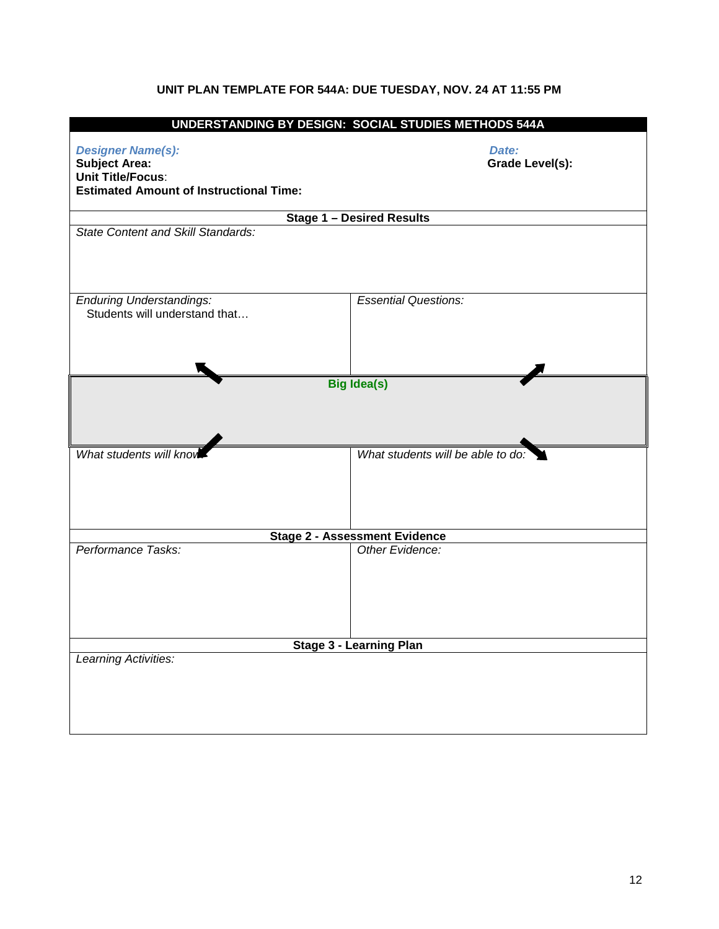## **UNIT PLAN TEMPLATE FOR 544A: DUE TUESDAY, NOV. 24 AT 11:55 PM**

<span id="page-11-0"></span>

| UNDERSTANDING BY DESIGN: SOCIAL STUDIES METHODS 544A                                                                           |                                      |  |  |  |
|--------------------------------------------------------------------------------------------------------------------------------|--------------------------------------|--|--|--|
| <b>Designer Name(s):</b><br><b>Subject Area:</b><br><b>Unit Title/Focus:</b><br><b>Estimated Amount of Instructional Time:</b> | Date:<br>Grade Level(s):             |  |  |  |
|                                                                                                                                | <b>Stage 1 - Desired Results</b>     |  |  |  |
| <b>State Content and Skill Standards:</b>                                                                                      |                                      |  |  |  |
| <b>Enduring Understandings:</b><br>Students will understand that                                                               | <b>Essential Questions:</b>          |  |  |  |
| <b>Big Idea(s)</b>                                                                                                             |                                      |  |  |  |
| What students will kno                                                                                                         | What students will be able to do:    |  |  |  |
|                                                                                                                                | <b>Stage 2 - Assessment Evidence</b> |  |  |  |
| Performance Tasks:                                                                                                             | Other Evidence:                      |  |  |  |
| <b>Stage 3 - Learning Plan</b>                                                                                                 |                                      |  |  |  |
| Learning Activities:                                                                                                           |                                      |  |  |  |